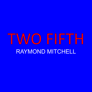# TWO FIFTH RAYMOND MITCHELL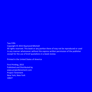Two Fifth Copyright © 2015 Raymond Mitchell All rights reserved. This book or any portion there of may not be reproduced or used in any manner whatsoever without the express written permission of the publisher except for the use of brief quotations in a book review.

Printed in the United States of America

First Printing, 2015 Published and Distributed by www.projecttenement.com Project Tenement New York, New York 10027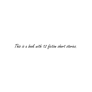## This is a book with 12 fiction short stories.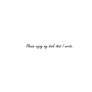Please enjoy my book that I wrote.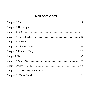#### **TABLE OF CONTENTS**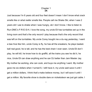#### Chapter 1 **3A**

Just because I'm 6 years old and four feet doesn't mean I don't know what crack smells like or what reefer smells like. People call me Shake Ski, when I was 2 years old I use to shake when I was hungry, ski I don't know. I like to listen to Run-DMC's F-R-E-S-H, I love the song, my uncle Eli has turntables set up in the living room and that's the only record I play because that's the only record that was left on the turntables. My uncle Corey bought me a du-rag yesterday, I want a bee hive like him, uncle Corey is fly, he has all the sneakers, he plays basketball real good, he is tall, and he has the best chain I ever seen. Uncle Eli don't play, he will kill, he know how to do graffiti, all the trains you see he did it, he nice, Uncle Eli can draw anything and he can DJ better than Jam Master Jay. My mother be working, she can cook, and buys me anything I want. My mother gave me six dollars when I turned 6, I still have it, my uncle said save it until I get a million dollars, I think that's make believe money, but I will save it until I get a million. My favorite show is double dare on nickelodeon we just got cable. I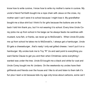know how to write cursive, I know how to write my mother's name in cursive. My uncle's friend Fat Keith bought me a rope chain with Jesus on the cross, my mother said I can't were it to school because I might lose it. My grandfather bought me a blue shirt but I think it's for girls because the buttons are on the back I told him thank you, but I'm not wearing it to school. Every time Uncle Corey picks me up from school in his beige car he always feeds me sardines with mustard, tuna fish, or franks, we never go to McDonald's . When Uncle Eli picks me up from school he takes me to McDonald's, I always get a hamburger, Uncle Eli gets a cheeseburger , that's nasty I only eat grilled cheese. I won't put it on a hamburger. My uncles took me to Toy "R" Us and said point to everything you want Santa Clause to get you and then when Christmas came everything I wanted was under the tree. Uncle Eli bought me a black and white fur coat and Uncle Corey bought me Air Jordans. On the weekends my uncles have their girlfriends and friends over the house and I like to sit and listen to them talk it's fun plus I learn a lot because kids my age only know about cartoons, some can't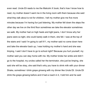even read. Uncle Eli reads to me the Malcolm X book, that's how I know how to read, my mother doesn't want me in the living room with them because she said what they talk about is not for children, I tell my mother give me five more minutes because I'm having fun just listening. My mother fell down the steps the other day we live on the third floor sometimes we take the elevator sometimes we walk. My mother had on high heels and tight jeans, I don't know why her jeans were so tight, she could barely walk in them, she fell. I was at the top of the stairs and I said I'm going to call 911, my mother said no come down here and take the elevator back up, I was holding my mother's hand and she was limping, I said I don't have to go to school right? Because you hurt yourself, my mother said you can stay home with me. My mother broke her ankle and didn't go to the hospital, my uncles called her the terminator, she just be limping, she said she will be okay, she said that's why you have to drink milk with your dinner Shake, sometimes I drink grape ginseng with my dinner like Uncle Eli. Uncle Eli drink the grape ginseng before and it had a roach in it, I told him and he said